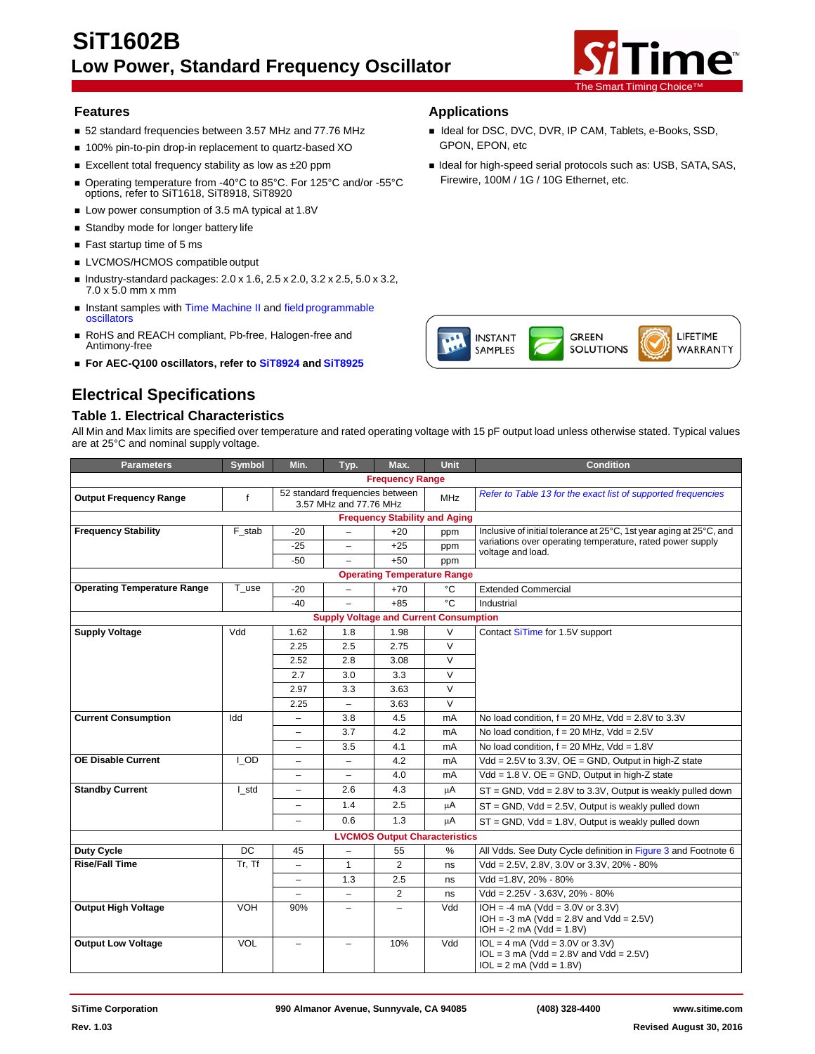

LIFETIME

WARRANTY

Firewire, 100M / 1G / 10G Ethernet, etc.

**INSTANT** SAMPLES

**GREEN** 

**SOLUTIONS** 

## **Features Applications**

- 52 standard frequencies between 3.57 MHz and 77.76 MHz **Integral Filters** Ideal for DSC, DVC, DVR, IP CAM, Tablets, e-Books, SSD,
- 100% pin-to-pin drop-in replacement to quartz-based XO GPON, EPON, etc
- Excellent total frequency stability as low as ±20 ppm **If the about the Ideal for high-speed serial protocols such as: USB, SATA, SAS,**
- Operating temperature from -40°C to 85°C. For 125°C and/or -55°C options, refer to SiT1618, SiT8918, SiT8920
- **Low power consumption of 3.5 mA typical at 1.8V**
- **Standby mode for longer battery life**
- Fast startup time of 5 ms
- **LVCMOS/HCMOS compatible output**
- $\blacksquare$  Industry-standard packages:  $2.0 \times 1.6$ ,  $2.5 \times 2.0$ ,  $3.2 \times 2.5$ ,  $5.0 \times 3.2$ , 7.0 x 5.0 mm x mm
- **Instant samples with [Time Machine II](http://www.sitime.com/support/time-machine-oscillator-programmer) and field [programmable](http://www.sitime.com/fp-devices)** [oscillators](http://www.sitime.com/fp-devices)
- RoHS and REACH compliant, Pb-free, Halogen-free and Antimony-free
- **For AEC-Q100 oscillators, refer to [SiT8924](http://www.sitime.com/products/automotive-oscillators-clock-generators/sit8924) and [SiT8925](http://www.sitime.com/products/automotive-oscillators-clock-generators/sit8925)**

# **Electrical Specifications**

#### **Table 1. Electrical Characteristics**

#### All Min and Max limits are specified over temperature and rated operating voltage with 15 pF output load unless otherwise stated. Typical values are at 25°C and nominal supply voltage**.**

| <b>Parameters</b>                  | Symbol      | Min.                                                                    | Typ.                                          | Max.                                                          | Unit   | <b>Condition</b>                                                                                              |
|------------------------------------|-------------|-------------------------------------------------------------------------|-----------------------------------------------|---------------------------------------------------------------|--------|---------------------------------------------------------------------------------------------------------------|
|                                    |             |                                                                         |                                               | <b>Frequency Range</b>                                        |        |                                                                                                               |
| <b>Output Frequency Range</b>      | $\mathbf f$ | 52 standard frequencies between<br><b>MHz</b><br>3.57 MHz and 77.76 MHz |                                               | Refer to Table 13 for the exact list of supported frequencies |        |                                                                                                               |
|                                    |             |                                                                         |                                               | <b>Frequency Stability and Aging</b>                          |        |                                                                                                               |
| <b>Frequency Stability</b>         | F stab      | $-20$                                                                   | $\qquad \qquad -$                             | $+20$                                                         | ppm    | Inclusive of initial tolerance at 25°C, 1st year aging at 25°C, and                                           |
|                                    |             | $-25$                                                                   | $\overline{\phantom{m}}$                      | $+25$                                                         | ppm    | variations over operating temperature, rated power supply<br>voltage and load.                                |
|                                    |             | $-50$                                                                   | $\overline{\phantom{a}}$                      | $+50$                                                         | ppm    |                                                                                                               |
|                                    |             |                                                                         |                                               | <b>Operating Temperature Range</b>                            |        |                                                                                                               |
| <b>Operating Temperature Range</b> | T use       | $-20$                                                                   | $\overline{\phantom{0}}$                      | $+70$                                                         | °C     | <b>Extended Commercial</b>                                                                                    |
|                                    |             | $-40$                                                                   | $\overline{\phantom{0}}$                      | $+85$                                                         | °C     | Industrial                                                                                                    |
|                                    |             |                                                                         | <b>Supply Voltage and Current Consumption</b> |                                                               |        |                                                                                                               |
| <b>Supply Voltage</b>              | Vdd         | 1.62                                                                    | 1.8                                           | 1.98                                                          | $\vee$ | Contact SiTime for 1.5V support                                                                               |
|                                    |             | 2.25                                                                    | 2.5                                           | 2.75                                                          | $\vee$ |                                                                                                               |
|                                    |             | 2.52                                                                    | 2.8                                           | 3.08                                                          | $\vee$ |                                                                                                               |
|                                    |             | 2.7                                                                     | 3.0                                           | 3.3                                                           | $\vee$ |                                                                                                               |
|                                    |             | 2.97                                                                    | 3.3                                           | 3.63                                                          | $\vee$ |                                                                                                               |
|                                    |             | 2.25                                                                    | $\overline{\phantom{m}}$                      | 3.63                                                          | $\vee$ |                                                                                                               |
| <b>Current Consumption</b>         | Idd         | $\overline{\phantom{0}}$                                                | 3.8                                           | 4.5                                                           | mA     | No load condition, $f = 20$ MHz, Vdd = 2.8V to 3.3V                                                           |
|                                    |             | $\equiv$                                                                | 3.7                                           | 4.2                                                           | mA     | No load condition, $f = 20$ MHz, Vdd = 2.5V                                                                   |
|                                    |             | $\equiv$                                                                | 3.5                                           | 4.1                                                           | mA     | No load condition, $f = 20$ MHz, Vdd = 1.8V                                                                   |
| <b>OE Disable Current</b>          | I OD        | $\equiv$                                                                | $\overline{\phantom{0}}$                      | 4.2                                                           | mA     | Vdd = $2.5V$ to $3.3V$ , $OE = GND$ , Output in high-Z state                                                  |
|                                    |             | $\overline{\phantom{0}}$                                                | $\qquad \qquad -$                             | 4.0                                                           | mA     | $Vdd = 1.8 V. OE = GND$ , Output in high-Z state                                                              |
| <b>Standby Current</b>             | I_std       | $\overline{\phantom{0}}$                                                | 2.6                                           | 4.3                                                           | μA     | $ST = GND$ , $Vdd = 2.8V$ to 3.3V, Output is weakly pulled down                                               |
|                                    |             | $\equiv$                                                                | 1.4                                           | 2.5                                                           | μA     | $ST = GND$ , $Vdd = 2.5V$ , Output is weakly pulled down                                                      |
|                                    |             | $\equiv$                                                                | 0.6                                           | 1.3                                                           | μA     | $ST = GND$ , $Vdd = 1.8V$ , Output is weakly pulled down                                                      |
|                                    |             |                                                                         |                                               | <b>LVCMOS Output Characteristics</b>                          |        |                                                                                                               |
| <b>Duty Cycle</b>                  | DC          | 45                                                                      | $\qquad \qquad -$                             | 55                                                            | %      | All Vdds. See Duty Cycle definition in Figure 3 and Footnote 6                                                |
| <b>Rise/Fall Time</b>              | Tr, Tf      | -                                                                       | $\mathbf{1}$                                  | $\overline{2}$                                                | ns     | Vdd = 2.5V, 2.8V, 3.0V or 3.3V, 20% - 80%                                                                     |
|                                    |             | $\overline{\phantom{0}}$                                                | 1.3                                           | 2.5                                                           | ns     | Vdd =1.8V, 20% - 80%                                                                                          |
|                                    |             | $\equiv$                                                                | $\overline{\phantom{m}}$                      | $\overline{2}$                                                | ns     | $Vdd = 2.25V - 3.63V, 20\% - 80\%$                                                                            |
| <b>Output High Voltage</b>         | <b>VOH</b>  | 90%                                                                     | $\overline{\phantom{0}}$                      | $\overline{\phantom{m}}$                                      | Vdd    | $IOH = -4 mA (Vdd = 3.0V or 3.3V)$<br>$IOH = -3 mA (Vdd = 2.8V and Vdd = 2.5V)$<br>$IOH = -2 mA (Vdd = 1.8V)$ |
| <b>Output Low Voltage</b>          | <b>VOL</b>  | $\equiv$                                                                |                                               | 10%                                                           | Vdd    | $IOL = 4 mA (Vdd = 3.0V or 3.3V)$<br>$IOL = 3 mA (Vdd = 2.8V and Vdd = 2.5V)$<br>$IOL = 2 mA (Vdd = 1.8V)$    |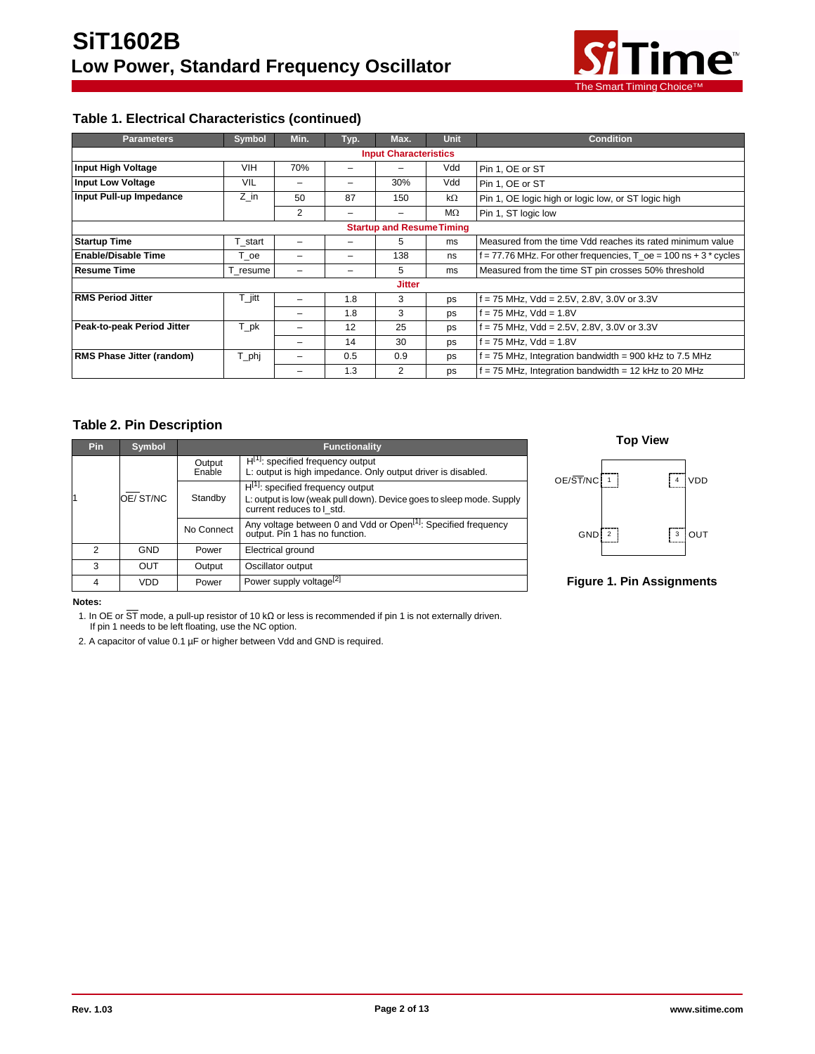

# **Table 1. Electrical Characteristics (continued)**

| <b>Parameters</b>                | <b>Symbol</b>       | Min. | Typ. | Max.                         | <b>Unit</b> | <b>Condition</b>                                                                |  |  |  |  |
|----------------------------------|---------------------|------|------|------------------------------|-------------|---------------------------------------------------------------------------------|--|--|--|--|
|                                  |                     |      |      | <b>Input Characteristics</b> |             |                                                                                 |  |  |  |  |
| <b>Input High Voltage</b>        | <b>VIH</b>          | 70%  | -    |                              | Vdd         | Pin 1, OE or ST                                                                 |  |  |  |  |
| <b>Input Low Voltage</b>         | VIL                 |      |      | 30%                          | Vdd         | Pin 1, OE or ST                                                                 |  |  |  |  |
| Input Pull-up Impedance          | Z in                | 50   | 87   | 150                          | kΩ          | Pin 1, OE logic high or logic low, or ST logic high                             |  |  |  |  |
|                                  |                     | 2    | -    | -                            | MΩ          | Pin 1, ST logic low                                                             |  |  |  |  |
| <b>Startup and Resume Timing</b> |                     |      |      |                              |             |                                                                                 |  |  |  |  |
| <b>Startup Time</b>              | T_start             | -    | -    | 5                            | ms          | Measured from the time Vdd reaches its rated minimum value                      |  |  |  |  |
| <b>Enable/Disable Time</b>       | T oe                |      |      | 138                          | ns          | $f = 77.76$ MHz. For other frequencies, $T_{\odot}$ oe = 100 ns + 3 $^*$ cycles |  |  |  |  |
| <b>Resume Time</b>               | T resume            |      |      | 5                            | ms          | Measured from the time ST pin crosses 50% threshold                             |  |  |  |  |
|                                  |                     |      |      | <b>Jitter</b>                |             |                                                                                 |  |  |  |  |
| <b>RMS Period Jitter</b>         | $T_{\parallel}$ itt | -    | 1.8  | 3                            | ps          | $f = 75$ MHz, Vdd = 2.5V, 2.8V, 3.0V or 3.3V                                    |  |  |  |  |
|                                  |                     |      | 1.8  | 3                            | ps          | f = 75 MHz, Vdd = 1.8V                                                          |  |  |  |  |
| Peak-to-peak Period Jitter       | T_pk                |      | 12   | 25                           | ps          | $f = 75$ MHz, Vdd = 2.5V, 2.8V, 3.0V or 3.3V                                    |  |  |  |  |
|                                  |                     | -    | 14   | 30                           | ps          | f = 75 MHz, Vdd = 1.8V                                                          |  |  |  |  |
| <b>RMS Phase Jitter (random)</b> | T_phj               | -    | 0.5  | 0.9                          | ps          | = 75 MHz, Integration bandwidth = 900 kHz to 7.5 MHz                            |  |  |  |  |
|                                  |                     |      | 1.3  | 2                            | ps          | $f = 75$ MHz, Integration bandwidth = 12 kHz to 20 MHz                          |  |  |  |  |

# **Table 2. Pin Description**

| <b>Pin</b> | <b>Symbol</b> | <b>Functionality</b> |                                                                                                                                             |  |  |  |  |
|------------|---------------|----------------------|---------------------------------------------------------------------------------------------------------------------------------------------|--|--|--|--|
|            |               | Output<br>Enable     | $H[1]$ : specified frequency output<br>L: output is high impedance. Only output driver is disabled.                                         |  |  |  |  |
|            | OE/ST/NC      | Standby              | $H^{[1]}$ : specified frequency output<br>L: output is low (weak pull down). Device goes to sleep mode. Supply<br>current reduces to I std. |  |  |  |  |
|            |               | No Connect           | Any voltage between 0 and Vdd or Open <sup>[1]</sup> : Specified frequency<br>output. Pin 1 has no function.                                |  |  |  |  |
| 2          | <b>GND</b>    | Power                | Electrical ground                                                                                                                           |  |  |  |  |
| 3          | OUT           | Output               | Oscillator output                                                                                                                           |  |  |  |  |
|            | VDD           | Power                | Power supply voltage <sup>[2]</sup>                                                                                                         |  |  |  |  |



**Figure 1. Pin Assignments**

#### **Notes:**

1. In OE or ST mode, a pull-up resistor of 10 kΩ or less is recommended if pin 1 is not externally driven.

If pin 1 needs to be left floating, use the NC option.

2. A capacitor of value 0.1 µF or higher between Vdd and GND is required.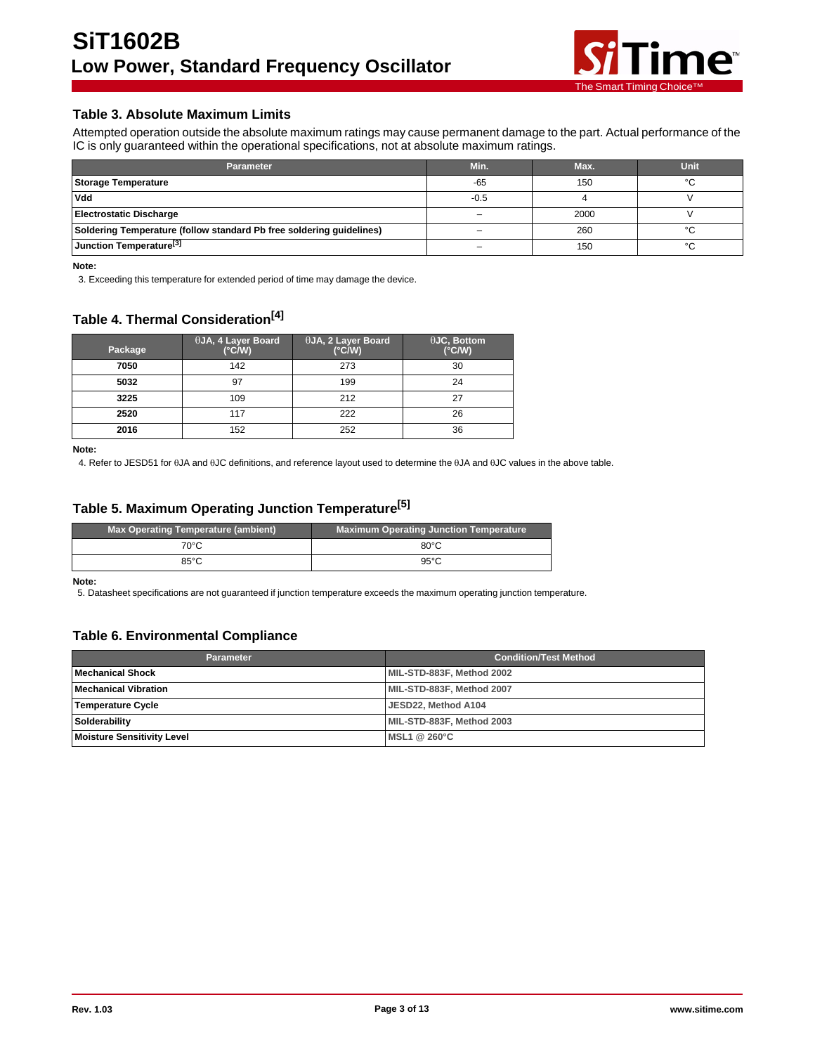

# **Table 3. Absolute Maximum Limits**

Attempted operation outside the absolute maximum ratings may cause permanent damage to the part. Actual performance of the IC is only guaranteed within the operational specifications, not at absolute maximum ratings.

| <b>Parameter</b>                                                     | Min.   | Max. | Unit   |
|----------------------------------------------------------------------|--------|------|--------|
| Storage Temperature                                                  | -65    | 150  | $\sim$ |
| Vdd                                                                  | $-0.5$ |      |        |
| <b>Electrostatic Discharge</b>                                       |        | 2000 |        |
| Soldering Temperature (follow standard Pb free soldering guidelines) |        | 260  |        |
| Junction Temperature <sup>[3]</sup>                                  |        | 150  | $\sim$ |

**Note:**

3. Exceeding this temperature for extended period of time may damage the device.

# **Table 4. Thermal Consideration[4]**

| Package | $\theta$ JA, 4 Layer Board<br>$(^{\circ}C/W)$ | $\theta$ JA, 2 Layer Board<br>$(^{\circ}C/W)$ | $\theta$ JC, Bottom<br>$(^{\circ}$ C/W) |
|---------|-----------------------------------------------|-----------------------------------------------|-----------------------------------------|
| 7050    | 142                                           | 273                                           | 30                                      |
| 5032    | 97                                            | 199                                           | 24                                      |
| 3225    | 109                                           | 212                                           | 27                                      |
| 2520    | 117                                           | 222                                           | 26                                      |
| 2016    | 152                                           | 252                                           | 36                                      |

**Note:**

4. Refer to JESD51 for θJA and θJC definitions, and reference layout used to determine the θJA and θJC values in the above table.

# **Table 5. Maximum Operating Junction Temperature[5]**

| Max Operating Temperature (ambient) | <b>Maximum Operating Junction Temperature</b> |
|-------------------------------------|-----------------------------------------------|
| 70°C                                | $80^{\circ}$ C                                |
| 85°C                                | $95^{\circ}$ C                                |

**Note:**

5. Datasheet specifications are not guaranteed if junction temperature exceeds the maximum operating junction temperature.

# **Table 6. Environmental Compliance**

| <b>Parameter</b>           | <b>Condition/Test Method</b> |
|----------------------------|------------------------------|
| l Mechanical Shock         | MIL-STD-883F, Method 2002    |
| l Mechanical Vibration     | MIL-STD-883F, Method 2007    |
| Temperature Cycle          | JESD22, Method A104          |
| Solderability              | MIL-STD-883F. Method 2003    |
| Moisture Sensitivity Level | MSL1@260°C                   |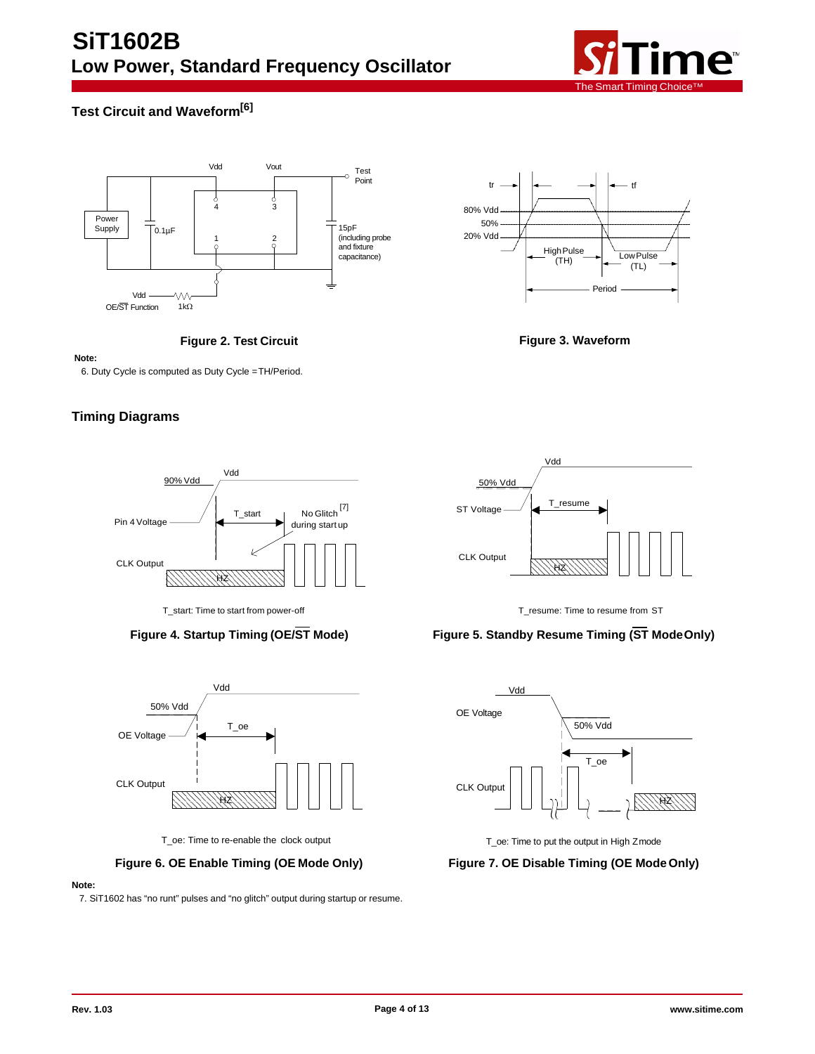

# <span id="page-3-0"></span>**Test Circuit and Waveform[6]**







#### **Note:**

6. Duty Cycle is computed as Duty Cycle =TH/Period.

# **Timing Diagrams**





T\_oe: Time to re-enable the clock output T\_oe: Time to put the output in High Zmode

## **Figure 6. OE Enable Timing (OE Mode Only) Figure 7. OE Disable Timing (OE ModeOnly)**

#### **Note:**

7. SiT1602 has "no runt" pulses and "no glitch" output during startup or resume.



T\_start: Time to start from power-off T\_resume: Time to resume from ST

# **Figure 4. Startup Timing (OE/ST Mode) Figure 5. Standby Resume Timing (ST ModeOnly)**

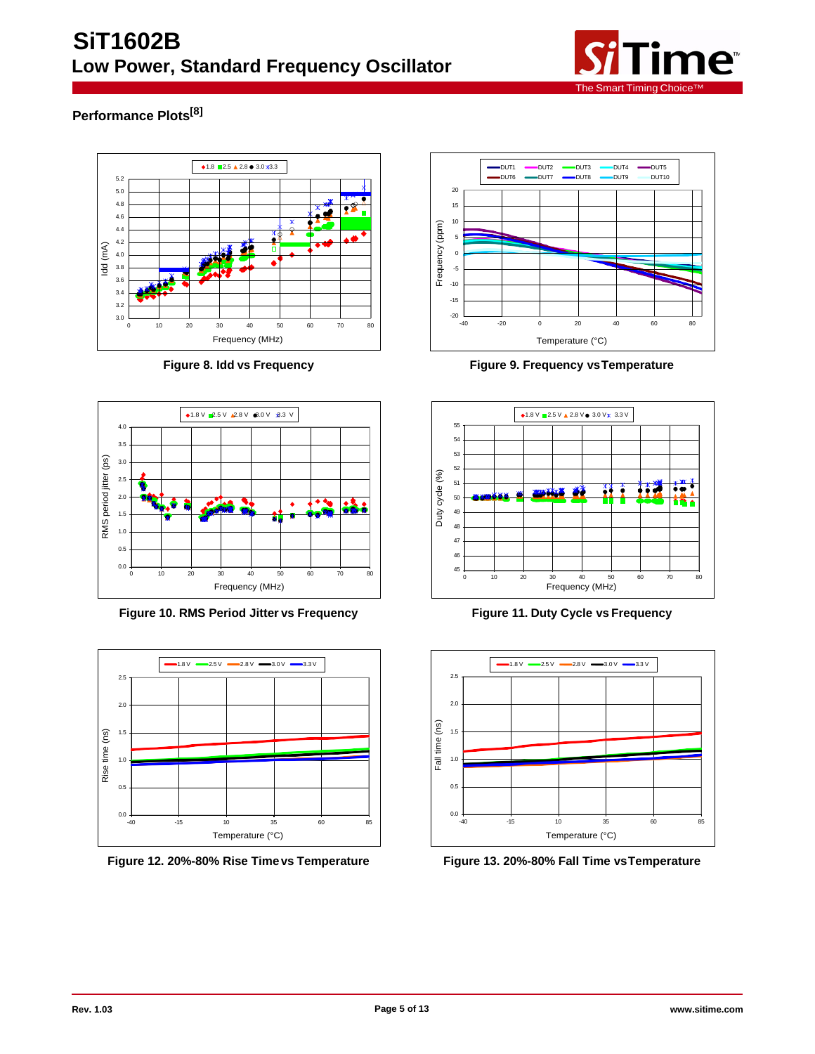

# **Performance Plots[8]**





**Figure 10. RMS Period Jitter vs Frequency Figure 11. Duty Cycle vs Frequency**



**Figure 12. 20%-80% Rise Timevs Temperature Figure 13. 20%-80% Fall Time vsTemperature**



**Figure 8. Idd vs Frequency Figure 9. Frequency vsTemperature**



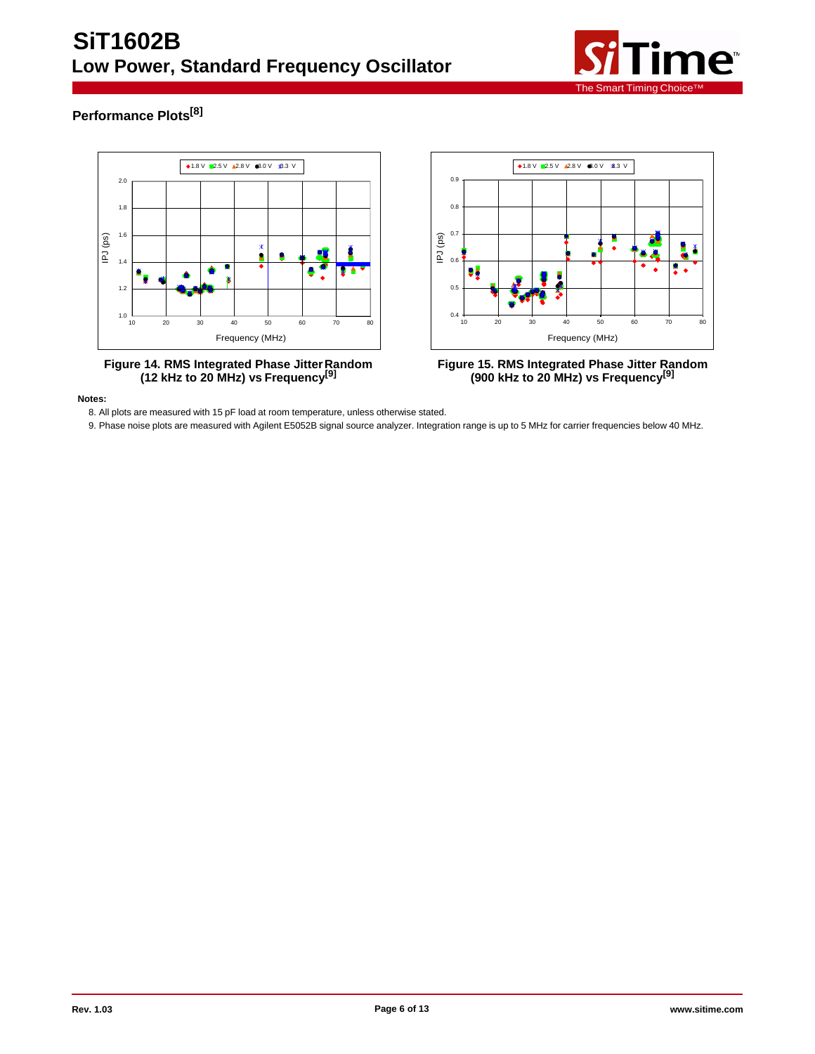

# **Performance Plots[8]**



**Notes:**

8. All plots are measured with 15 pF load at room temperature, unless otherwise stated.

9. Phase noise plots are measured with Agilent E5052B signal source analyzer. Integration range is up to 5 MHz for carrier frequencies below 40 MHz.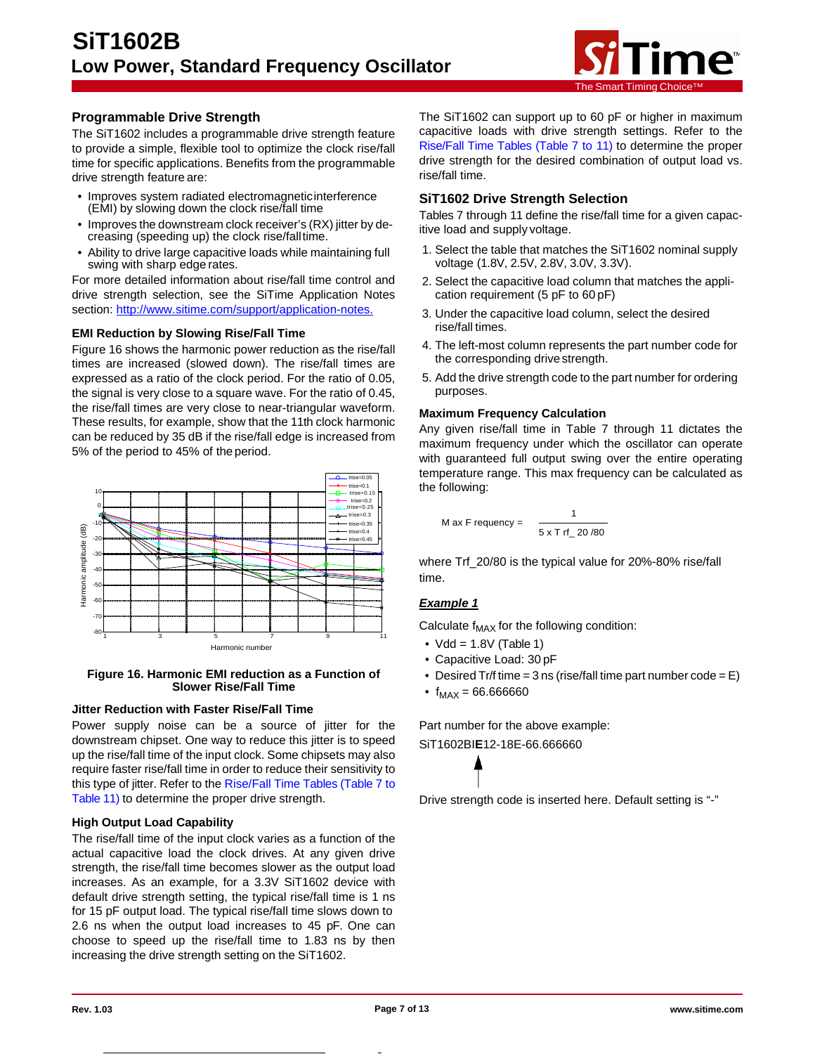

# **Programmable Drive Strength**

The SiT1602 includes a programmable drive strength feature to provide a simple, flexible tool to optimize the clock rise/fall time for specific applications. Benefits from the programmable drive strength feature are:

- Improves system radiated electromagneticinterference (EMI) by slowing down the clock rise/fall time
- Improves the downstream clock receiver's (RX) jitter by decreasing (speeding up) the clock rise/falltime.
- Ability to drive large capacitive loads while maintaining full swing with sharp edge rates.

For more detailed information about rise/fall time control and drive strength selection, see the SiTime Application Notes section: [http://www.sitime.com/support/application-notes.](http://www.sitime.com/support/application-notes)

#### **EMI Reduction by Slowing Rise/Fall Time**

Figure 16 shows the harmonic power reduction as the rise/fall times are increased (slowed down). The rise/fall times are expressed as a ratio of the clock period. For the ratio of 0.05, the signal is very close to a square wave. For the ratio of 0.45, the rise/fall times are very close to near-triangular waveform. These results, for example, show that the 11th clock harmonic can be reduced by 35 dB if the rise/fall edge is increased from 5% of the period to 45% of the period.



#### **Figure 16. Harmonic EMI reduction as a Function of Slower Rise/Fall Time**

# **Jitter Reduction with Faster Rise/Fall Time**

Power supply noise can be a source of jitter for the downstream chipset. One way to reduce this jitter is to speed up the rise/fall time of the input clock. Some chipsets may also require faster rise/fall time in order to reduce their sensitivity to this type of jitter. Refer to the [Rise/Fall](#page-7-0) Time Tables (Table 7 to [Table 11\)](#page-7-0) to determine the proper drive strength.

#### **High Output Load Capability**

The rise/fall time of the input clock varies as a function of the actual capacitive load the clock drives. At any given drive strength, the rise/fall time becomes slower as the output load increases. As an example, for a 3.3V SiT1602 device with default drive strength setting, the typical rise/fall time is 1 ns for 15 pF output load. The typical rise/fall time slows down to 2.6 ns when the output load increases to 45 pF. One can choose to speed up the rise/fall time to 1.83 ns by then increasing the drive strength setting on the SiT1602.

The SiT1602 can support up to 60 pF or higher in maximum capacitive loads with drive strength settings. Refer to the [Rise/Fall Time Tables \(Table 7 to 11\)](#page-7-0) to determine the proper drive strength for the desired combination of output load vs. rise/fall time.

# **SiT1602 Drive Strength Selection**

Tables 7 through 11 define the rise/fall time for a given capacitive load and supply voltage.

- 1. Select the table that matches the SiT1602 nominal supply voltage (1.8V, 2.5V, 2.8V, 3.0V, 3.3V).
- 2. Select the capacitive load column that matches the application requirement (5 pF to 60 pF)
- 3. Under the capacitive load column, select the desired rise/fall times.
- 4. The left-most column represents the part number code for the corresponding drivestrength.
- 5. Add the drive strength code to the part number for ordering purposes.

## **Maximum Frequency Calculation**

Any given rise/fall time in Table 7 through 11 dictates the maximum frequency under which the oscillator can operate with guaranteed full output swing over the entire operating temperature range. This max frequency can be calculated as the following:

$$
\frac{1}{\text{trise}=0.3}
$$
  
\n
$$
\frac{1}{\text{trise}=0.3}
$$
  
\n
$$
\frac{1}{\text{trise}=0.4}
$$
  
\n
$$
\frac{1}{5 \times T \text{ rf } 20/80}
$$

where Trf 20/80 is the typical value for 20%-80% rise/fall time.

# *Example 1*

Calculate  $f_{MAX}$  for the following condition:

- $Vdd = 1.8V$  (Table 1)
- Capacitive Load: 30 pF
- Desired Tr/f time =  $3 \text{ ns}$  (rise/fall time part number code =  $E$ )
- $f_{MAX} = 66.666660$

Part number for the above example: SiT1602BI**E**12-18E-66.666660

Drive strength code is inserted here. Default setting is "-"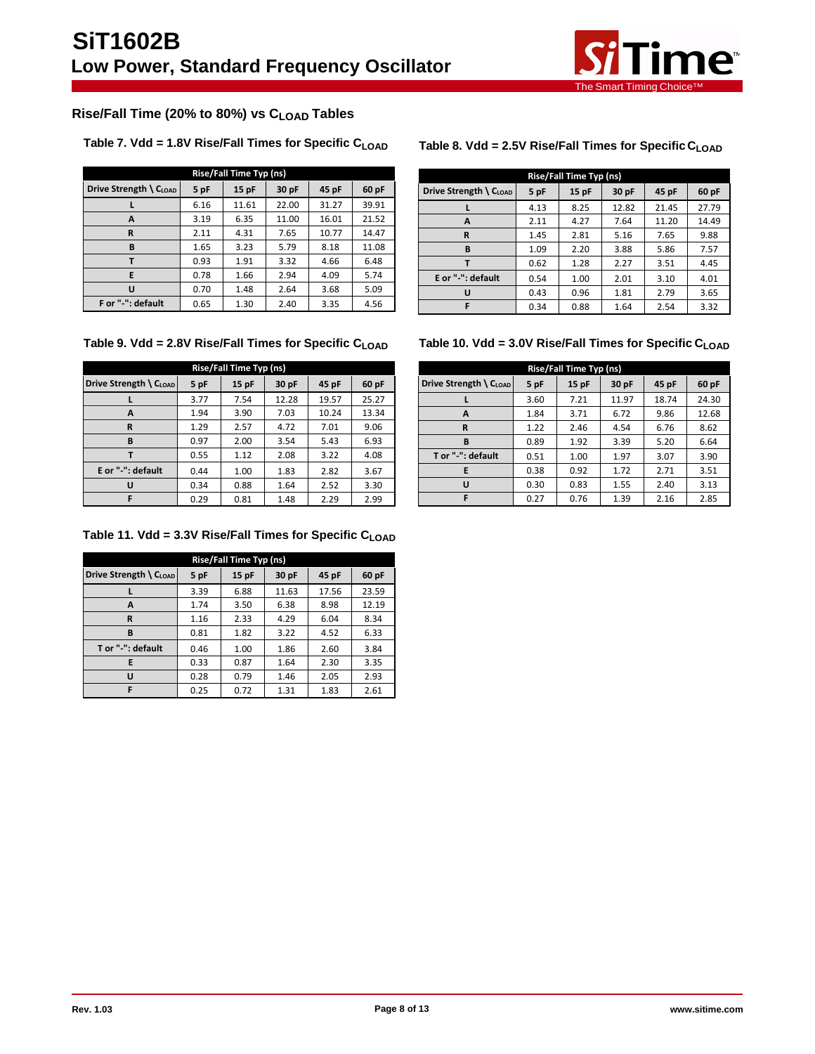

# <span id="page-7-0"></span>**Rise/Fall Time (20% to 80%) vs CLOAD Tables**

# **Table 7. Vdd = 1.8V Rise/Fall Times for Specific CLOAD Table 8. Vdd = 2.5V Rise/Fall Times for Specific CLOAD**

| Rise/Fall Time Typ (ns)     |      |       |       |       |       |  |  |  |
|-----------------------------|------|-------|-------|-------|-------|--|--|--|
| Drive Strength \ $C_{LOAD}$ | 5 pF | 15pF  | 30 pF | 45 pF | 60 pF |  |  |  |
|                             | 6.16 | 11.61 | 22.00 | 31.27 | 39.91 |  |  |  |
| A                           | 3.19 | 6.35  | 11.00 | 16.01 | 21.52 |  |  |  |
| R                           | 2.11 | 4.31  | 7.65  | 10.77 | 14.47 |  |  |  |
| B                           | 1.65 | 3.23  | 5.79  | 8.18  | 11.08 |  |  |  |
|                             | 0.93 | 1.91  | 3.32  | 4.66  | 6.48  |  |  |  |
| F                           | 0.78 | 1.66  | 2.94  | 4.09  | 5.74  |  |  |  |
| п                           | 0.70 | 1.48  | 2.64  | 3.68  | 5.09  |  |  |  |
| F or "-": default           | 0.65 | 1.30  | 2.40  | 3.35  | 4.56  |  |  |  |

| Rise/Fall Time Typ (ns)                      |                                            |      |       |       |       |  |  |
|----------------------------------------------|--------------------------------------------|------|-------|-------|-------|--|--|
| Drive Strength $\setminus$ C <sub>LOAD</sub> | 45 pF<br>5 pF<br>$15$ pF<br>30 pF<br>60 pF |      |       |       |       |  |  |
|                                              | 4.13                                       | 8.25 | 12.82 | 21.45 | 27.79 |  |  |
| A                                            | 2.11                                       | 4.27 | 7.64  | 11.20 | 14.49 |  |  |
| R                                            | 1.45                                       | 2.81 | 5.16  | 7.65  | 9.88  |  |  |
| В                                            | 1.09                                       | 2.20 | 3.88  | 5.86  | 7.57  |  |  |
|                                              | 0.62                                       | 1.28 | 2.27  | 3.51  | 4.45  |  |  |
| E or "-": default                            | 0.54                                       | 1.00 | 2.01  | 3.10  | 4.01  |  |  |
| U                                            | 0.43                                       | 0.96 | 1.81  | 2.79  | 3.65  |  |  |
|                                              | 0.34                                       | 0.88 | 1.64  | 2.54  | 3.32  |  |  |

| Rise/Fall Time Typ (ns)                                           |      |      |       |       |       |  |  |
|-------------------------------------------------------------------|------|------|-------|-------|-------|--|--|
| Drive Strength \ CLOAD<br>5 pF<br>15pF<br>30 pF<br>45 pF<br>60 pF |      |      |       |       |       |  |  |
|                                                                   | 3.77 | 7.54 | 12.28 | 19.57 | 25.27 |  |  |
| A                                                                 | 1.94 | 3.90 | 7.03  | 10.24 | 13.34 |  |  |
| R                                                                 | 1.29 | 2.57 | 4.72  | 7.01  | 9.06  |  |  |
| B                                                                 | 0.97 | 2.00 | 3.54  | 5.43  | 6.93  |  |  |
|                                                                   | 0.55 | 1.12 | 2.08  | 3.22  | 4.08  |  |  |
| E or "-": default                                                 | 0.44 | 1.00 | 1.83  | 2.82  | 3.67  |  |  |
|                                                                   | 0.34 | 0.88 | 1.64  | 2.52  | 3.30  |  |  |
|                                                                   | 0.29 | 0.81 | 1.48  | 2.29  | 2.99  |  |  |

**Table 9. Vdd = 2.8V Rise/Fall Times for Specific CLOAD Table 10. Vdd = 3.0V Rise/Fall Times for Specific CLOAD**

| Rise/Fall Time Typ (ns)                                           |      |      |       |       |       |  |  |  |
|-------------------------------------------------------------------|------|------|-------|-------|-------|--|--|--|
| Drive Strength \ CLOAD<br>5 pF<br>30 pF<br>15pF<br>45 pF<br>60 pF |      |      |       |       |       |  |  |  |
|                                                                   | 3.60 | 7.21 | 11.97 | 18.74 | 24.30 |  |  |  |
| A                                                                 | 1.84 | 3.71 | 6.72  | 9.86  | 12.68 |  |  |  |
| R                                                                 | 1.22 | 2.46 | 4.54  | 6.76  | 8.62  |  |  |  |
| B                                                                 | 0.89 | 1.92 | 3.39  | 5.20  | 6.64  |  |  |  |
| T or "-": default                                                 | 0.51 | 1.00 | 1.97  | 3.07  | 3.90  |  |  |  |
| E                                                                 | 0.38 | 0.92 | 1.72  | 2.71  | 3.51  |  |  |  |
| U                                                                 | 0.30 | 0.83 | 1.55  | 2.40  | 3.13  |  |  |  |
| F                                                                 | 0.27 | 0.76 | 1.39  | 2.16  | 2.85  |  |  |  |

# **Table 11. Vdd = 3.3V Rise/Fall Times for Specific CLOAD**

| Rise/Fall Time Typ (ns) |      |      |       |       |       |  |  |  |
|-------------------------|------|------|-------|-------|-------|--|--|--|
| Drive Strength \ CLOAD  | 5 pF | 15pF | 30 pF | 45 pF | 60 pF |  |  |  |
|                         | 3.39 | 6.88 | 11.63 | 17.56 | 23.59 |  |  |  |
| A                       | 1.74 | 3.50 | 6.38  | 8.98  | 12.19 |  |  |  |
| R                       | 1.16 | 2.33 | 4.29  | 6.04  | 8.34  |  |  |  |
| B                       | 0.81 | 1.82 | 3.22  | 4.52  | 6.33  |  |  |  |
| T or "-": default       | 0.46 | 1.00 | 1.86  | 2.60  | 3.84  |  |  |  |
| F                       | 0.33 | 0.87 | 1.64  | 2.30  | 3.35  |  |  |  |
| U                       | 0.28 | 0.79 | 1.46  | 2.05  | 2.93  |  |  |  |
|                         | 0.25 | 0.72 | 1.31  | 1.83  | 2.61  |  |  |  |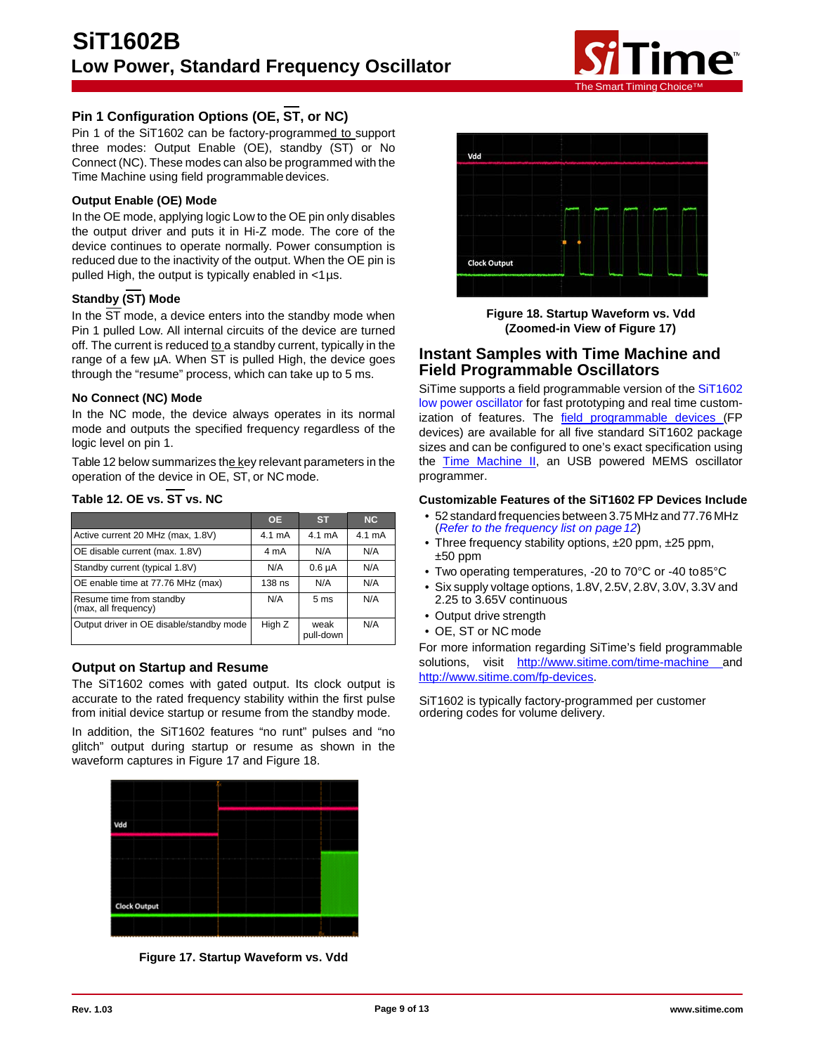

# **Pin 1 Configuration Options (OE, ST, or NC)**

Pin 1 of the SiT1602 can be factory-programmed to support three modes: Output Enable (OE), standby (ST) or No Connect (NC). These modes can also be programmed with the Time Machine using field programmable devices.

# **Output Enable (OE) Mode**

In the OE mode, applying logic Low to the OE pin only disables the output driver and puts it in Hi-Z mode. The core of the device continues to operate normally. Power consumption is reduced due to the inactivity of the output. When the OE pin is pulled High, the output is typically enabled in  $\lt 1$  µs.

# **Standby (ST) Mode**

In the ST mode, a device enters into the standby mode when Pin 1 pulled Low. All internal circuits of the device are turned off. The current is reduced to a standby current, typically in the range of a few µA. When ST is pulled High, the device goes through the "resume" process, which can take up to 5 ms.

#### **No Connect (NC) Mode**

In the NC mode, the device always operates in its normal mode and outputs the specified frequency regardless of the logic level on pin 1.

Table 12 below summarizes the key relevant parameters in the operation of the device in OE, ST, or NC mode.

|                                                  | <b>OE</b> | <b>ST</b>          | NC     |
|--------------------------------------------------|-----------|--------------------|--------|
| Active current 20 MHz (max, 1.8V)                | 4.1 mA    | $4.1 \text{ mA}$   | 4.1 mA |
| OE disable current (max. 1.8V)                   | 4 mA      | N/A                | N/A    |
| Standby current (typical 1.8V)                   | N/A       | 0.6 <sub>µ</sub> A | N/A    |
| OE enable time at 77.76 MHz (max)                | 138 ns    | N/A                | N/A    |
| Resume time from standby<br>(max, all frequency) | N/A       | 5 <sub>ms</sub>    | N/A    |
| Output driver in OE disable/standby mode         | High Z    | weak<br>pull-down  | N/A    |

# **Table 12. OE vs. ST vs. NC**

# **Output on Startup and Resume**

The SiT1602 comes with gated output. Its clock output is accurate to the rated frequency stability within the first pulse from initial device startup or resume from the standby mode.

In addition, the SiT1602 features "no runt" pulses and "no glitch" output during startup or resume as shown in the waveform captures in Figure 17 and Figure 18.



**Figure 17. Startup Waveform vs. Vdd**



**Figure 18. Startup Waveform vs. Vdd (Zoomed-in View of Figure 17)**

# **Instant Samples with Time Machine and Field Programmable Oscillators**

SiTime supports a field [programmable](http://www.sitime.com/time-machine) version of the [SiT1602](http://www.sitime.com/products/low-power-oscillators/sit1602) low power [oscillator](http://www.sitime.com/products/low-power-oscillators/sit1602) for fast prototyping and real time customization of features. The [field programmable devices](http://www.sitime.com/fp-devices) (FP devices) are available for all five standard SiT1602 package sizes and can be configured to one's exact specification using the **Time Machine II**, an USB powered MEMS oscillator programmer.

#### **Customizable Features of the SiT1602 FP Devices Include**

- 52 standard frequencies between 3.75 MHz and 77.76 MHz (*[Refer to the frequency list on page12](#page-11-0)*)
- Three frequency stability options, ±20 ppm, ±25 ppm,  $±50$  ppm
- Two operating temperatures, -20 to 70°C or -40 to85°C
- Six supply voltage options, 1.8V, 2.5V, 2.8V, 3.0V, 3.3V and 2.25 to 3.65V continuous
- Output drive strength
- OE, ST or NC mode

For more information regarding SiTime's field programmable solutions, visit <http://www.sitime.com/time-machine> and [http://www.sitime.com/fp-devices.](http://www.sitime.com/fp-devices)

SiT1602 is typically factory-programmed per customer ordering codes for volume delivery.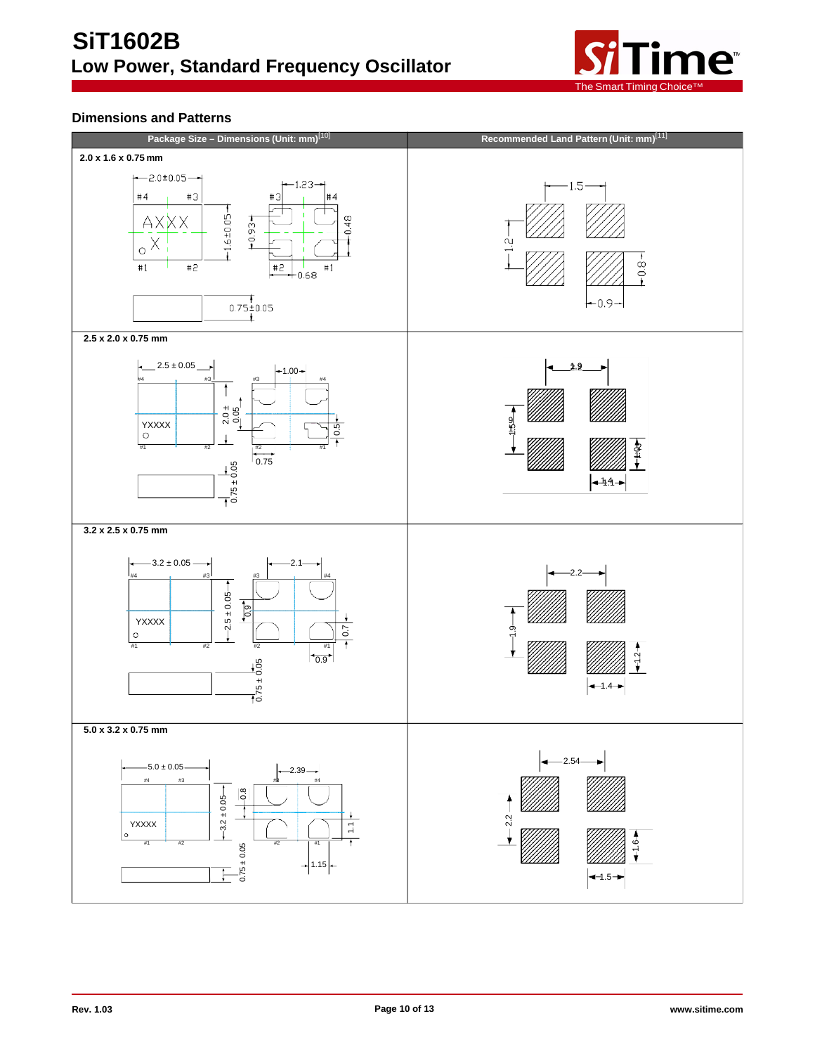

# **Dimensions and Patterns**

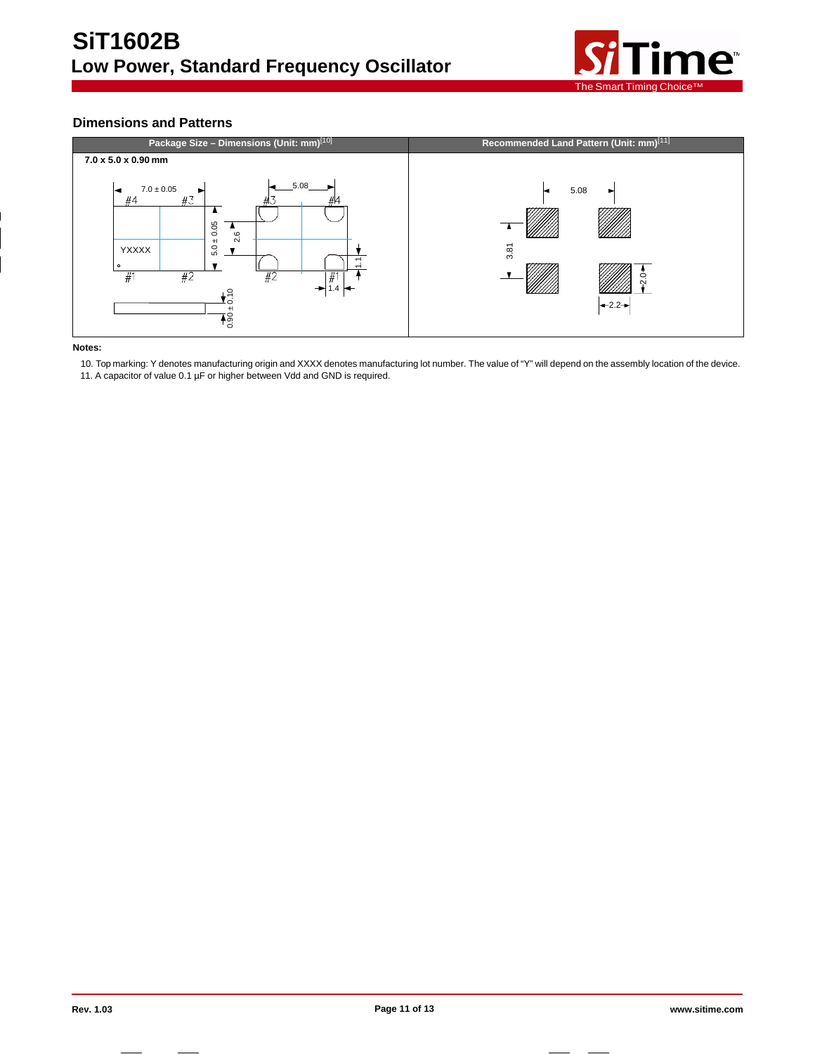

# **Dimensions and Patterns**



#### **Notes:**

10. Top marking: Y denotes manufacturing origin and XXXX denotes manufacturing lot number. The value of "Y" will depend on the assembly location of the device.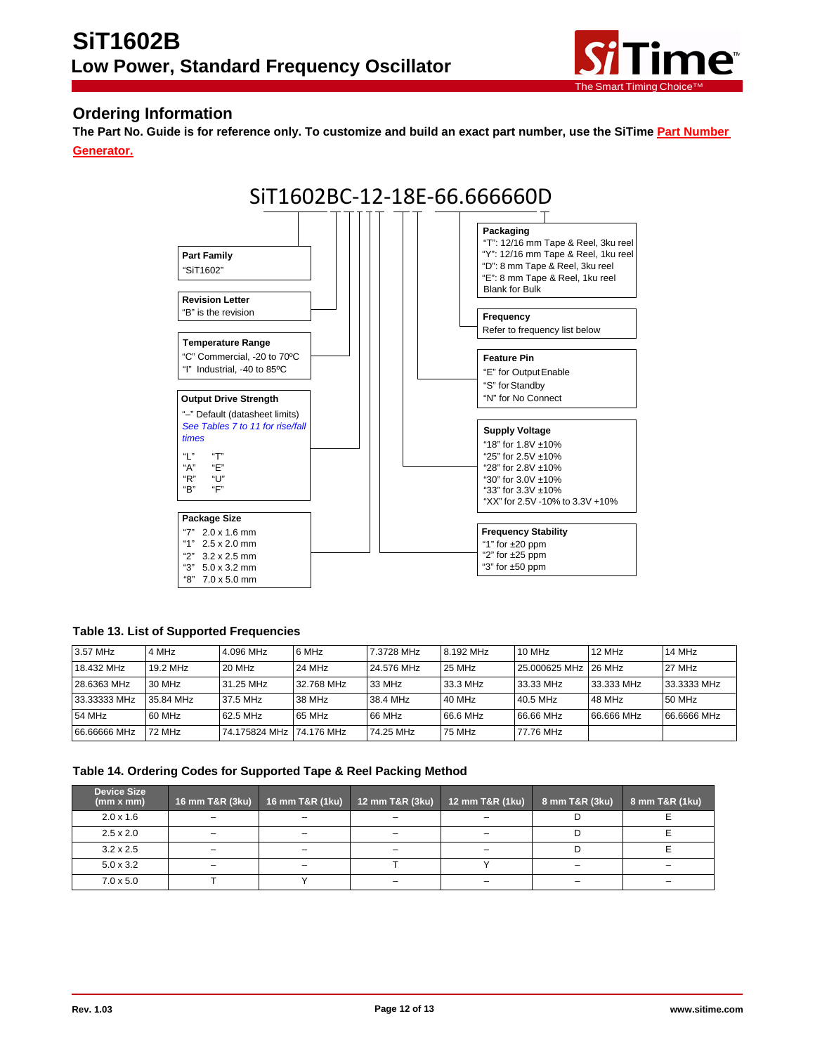

# <span id="page-11-0"></span>**Ordering Information**

The Part No. Guide is for reference only. To customize and build an exact part number, use the SiTime [Part Number](http://www.sitime.com/products/high-temp-oscillators/sit1618#magictabs_jsRZ4_3) **Generator.**



# **Table 13. List of Supported Frequencies**

| 3.57 MHz     | 4 MHz     | 4.096 MHz                 | 6 MHz      | 7.3728 MHz | 8.192 MHz | $10$ MHz             | 12 MHz     | 14 MHz      |
|--------------|-----------|---------------------------|------------|------------|-----------|----------------------|------------|-------------|
| 18.432 MHz   | 19.2 MHz  | 20 MHz                    | 24 MHz     | 24.576 MHz | 25 MHz    | 25.000625 MHz 26 MHz |            | 27 MHz      |
| 28.6363 MHz  | 30 MHz    | 31.25 MHz                 | 32.768 MHz | 33 MHz     | 33.3 MHz  | 33.33 MHz            | 33.333 MHz | 33.3333 MHz |
| 33.33333 MHz | 35.84 MHz | 37.5 MHz                  | 38 MHz     | 38.4 MHz   | 40 MHz    | 40.5 MHz             | 48 MHz     | 50 MHz      |
| 54 MHz       | 60 MHz    | 62.5 MHz                  | 65 MHz     | 66 MHz     | 66.6 MHz  | 66.66 MHz            | 66.666 MHz | 66.6666 MHz |
| 66.66666 MHz | 72 MHz    | 74.175824 MHz 174.176 MHz |            | 74.25 MHz  | 75 MHz    | 77.76 MHz            |            |             |

#### **Table 14. Ordering Codes for Supported Tape & Reel Packing Method**

| <b>Device Size</b><br>(mm x mm) | 16 mm T&R (3ku)          | 16 mm T&R (1ku) | 12 mm T&R (3ku) | 12 mm T&R (1ku)          | 8 mm T&R (3ku) | 8 mm T&R (1ku) |
|---------------------------------|--------------------------|-----------------|-----------------|--------------------------|----------------|----------------|
| $2.0 \times 1.6$                |                          |                 |                 |                          |                |                |
| $2.5 \times 2.0$                | $\overline{\phantom{0}}$ |                 |                 |                          |                |                |
| $3.2 \times 2.5$                | $\overline{\phantom{0}}$ |                 |                 |                          |                |                |
| $5.0 \times 3.2$                |                          |                 |                 |                          |                |                |
| $7.0 \times 5.0$                |                          |                 |                 | $\overline{\phantom{0}}$ |                |                |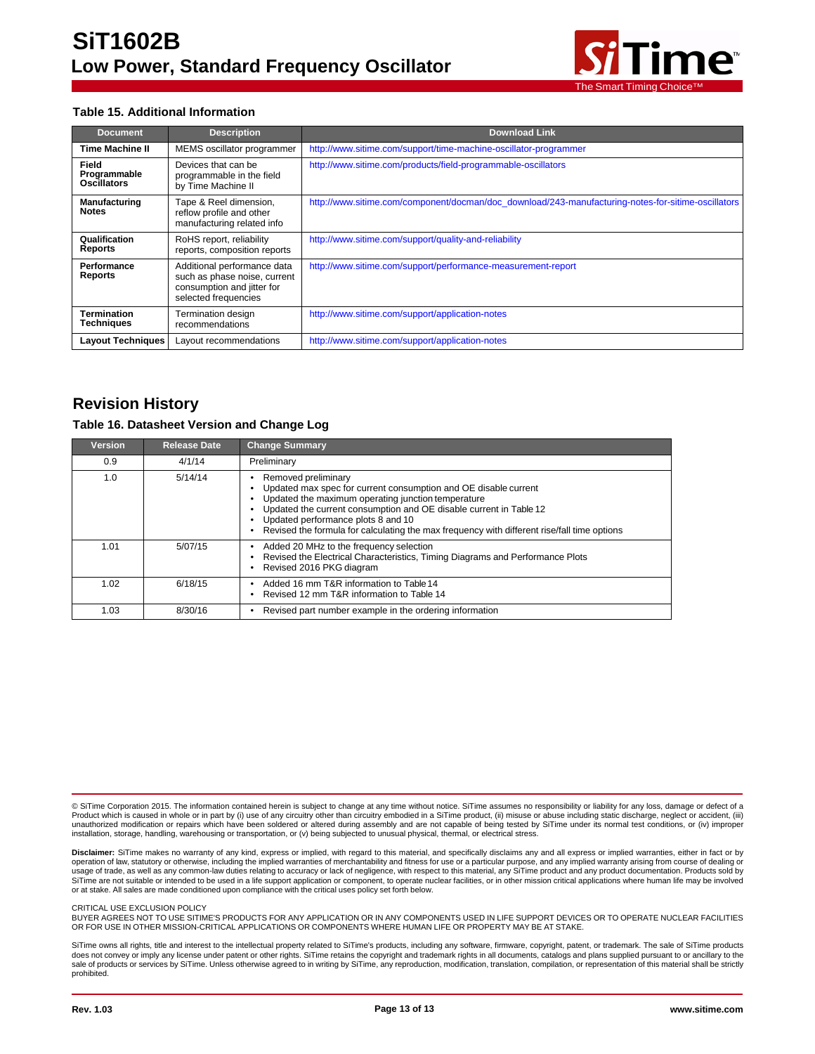

### **Table 15. Additional Information**

| <b>Document</b>                             | <b>Description</b>                                                                                                | <b>Download Link</b>                                                                               |
|---------------------------------------------|-------------------------------------------------------------------------------------------------------------------|----------------------------------------------------------------------------------------------------|
| <b>Time Machine II</b>                      | MEMS oscillator programmer                                                                                        | http://www.sitime.com/support/time-machine-oscillator-programmer                                   |
| Field<br>Programmable<br><b>Oscillators</b> | Devices that can be<br>programmable in the field<br>by Time Machine II                                            | http://www.sitime.com/products/field-programmable-oscillators                                      |
| <b>Manufacturing</b><br><b>Notes</b>        | Tape & Reel dimension,<br>reflow profile and other<br>manufacturing related info                                  | http://www.sitime.com/component/docman/doc_download/243-manufacturing-notes-for-sitime-oscillators |
| Qualification<br>Reports                    | RoHS report, reliability<br>reports, composition reports                                                          | http://www.sitime.com/support/quality-and-reliability                                              |
| Performance<br><b>Reports</b>               | Additional performance data<br>such as phase noise, current<br>consumption and jitter for<br>selected frequencies | http://www.sitime.com/support/performance-measurement-report                                       |
| Termination<br><b>Techniques</b>            | <b>Termination design</b><br>recommendations                                                                      | http://www.sitime.com/support/application-notes                                                    |
| <b>Layout Techniques</b>                    | Layout recommendations                                                                                            | http://www.sitime.com/support/application-notes                                                    |

# **Revision History**

#### **Table 16. Datasheet Version and Change Log**

| Version | <b>Release Date</b> | <b>Change Summary</b>                                                                                                                                                                                                                                                                                                                                   |
|---------|---------------------|---------------------------------------------------------------------------------------------------------------------------------------------------------------------------------------------------------------------------------------------------------------------------------------------------------------------------------------------------------|
| 0.9     | 4/1/14              | Preliminary                                                                                                                                                                                                                                                                                                                                             |
| 1.0     | 5/14/14             | Removed preliminary<br>Updated max spec for current consumption and OE disable current<br>Updated the maximum operating junction temperature<br>Updated the current consumption and OE disable current in Table 12<br>Updated performance plots 8 and 10<br>Revised the formula for calculating the max frequency with different rise/fall time options |
| 1.01    | 5/07/15             | Added 20 MHz to the frequency selection<br>Revised the Electrical Characteristics, Timing Diagrams and Performance Plots<br>Revised 2016 PKG diagram                                                                                                                                                                                                    |
| 1.02    | 6/18/15             | Added 16 mm T&R information to Table 14<br>Revised 12 mm T&R information to Table 14                                                                                                                                                                                                                                                                    |
| 1.03    | 8/30/16             | Revised part number example in the ordering information                                                                                                                                                                                                                                                                                                 |

© SiTime Corporation 2015. The information contained herein is subject to change at any time without notice. SiTime assumes no responsibility or liability for any loss, damage or defect of a<br>Product which is caused in whol unauthorized modification or repairs which have been soldered or altered during assembly and are not capable of being tested by SiTime under its normal test conditions, or (iv) improper installation, storage, handling, warehousing or transportation, or (v) being subjected to unusual physical, thermal, or electrical stress.

**Disclaimer:** SiTime makes no warranty of any kind, express or implied, with regard to this material, and specifically disclaims any and all express or implied warranties, either in fact or by<br>operation of law, statutory o usage of trade, as well as any common-law duties relating to accuracy or lack of negligence, with respect to this material, any SiTime product and any product documentation. Products sold by SiTime are not suitable or intended to be used in a life support application or component, to operate nuclear facilities, or in other mission critical applications where human life may be involved<br>or at stake. All sales ar

#### CRITICAL LISE EXCLUSION POLICY

BUYER AGREES NOT TO USE SITIME'S PRODUCTS FOR ANY APPLICATION OR IN ANY COMPONENTS USED IN LIFE SUPPORT DEVICES OR TO OPERATE NUCLEAR FACILITIES OR FOR USE IN OTHER MISSION-CRITICAL APPLICATIONS OR COMPONENTS WHERE HUMAN LIFE OR PROPERTY MAY BE AT STAKE.

SiTime owns all rights, title and interest to the intellectual property related to SiTime's products, including any software, firmware, copyright, patent, or trademark. The sale of SiTime products does not convey or imply any license under patent or other rights. SiTime retains the copyright and trademark rights in all documents, catalogs and plans supplied pursuant to or ancillary to the sale of products or services by SiTime. Unless otherwise agreed to in writing by SiTime, any reproduction, modification, translation, compilation, or representation of this material shall be strictly prohibited.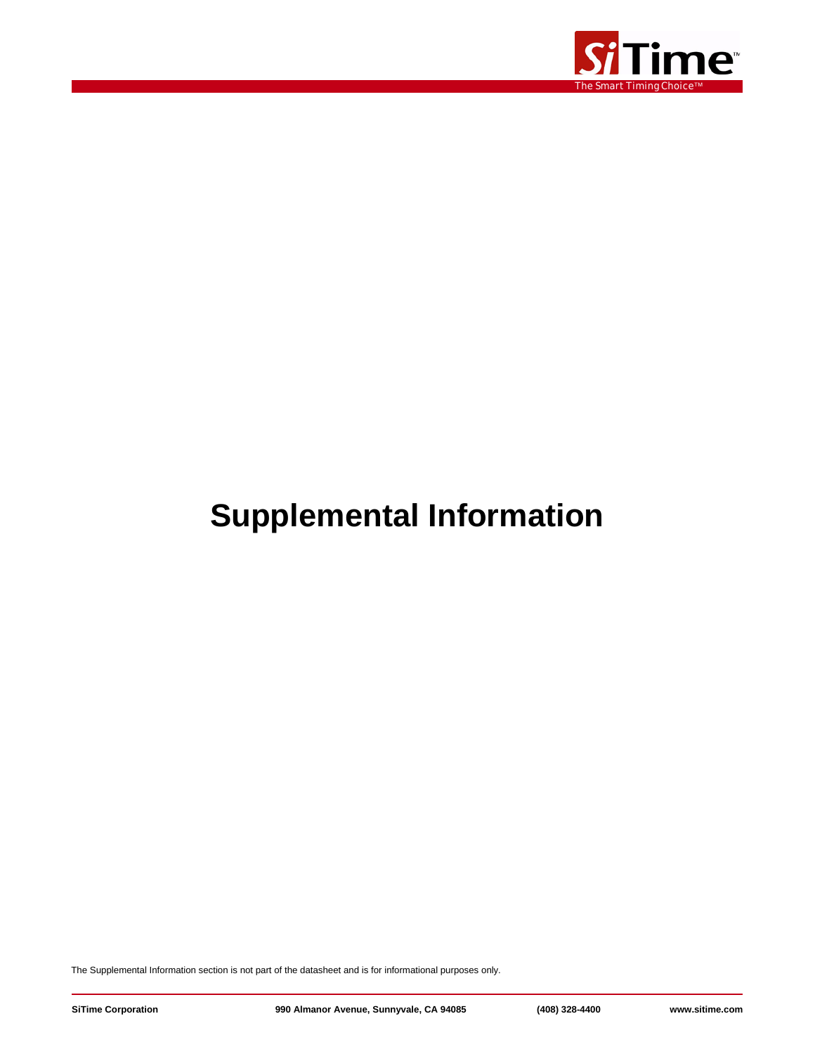

# **Supplemental Information**

The Supplemental Information section is not part of the datasheet and is for informational purposes only.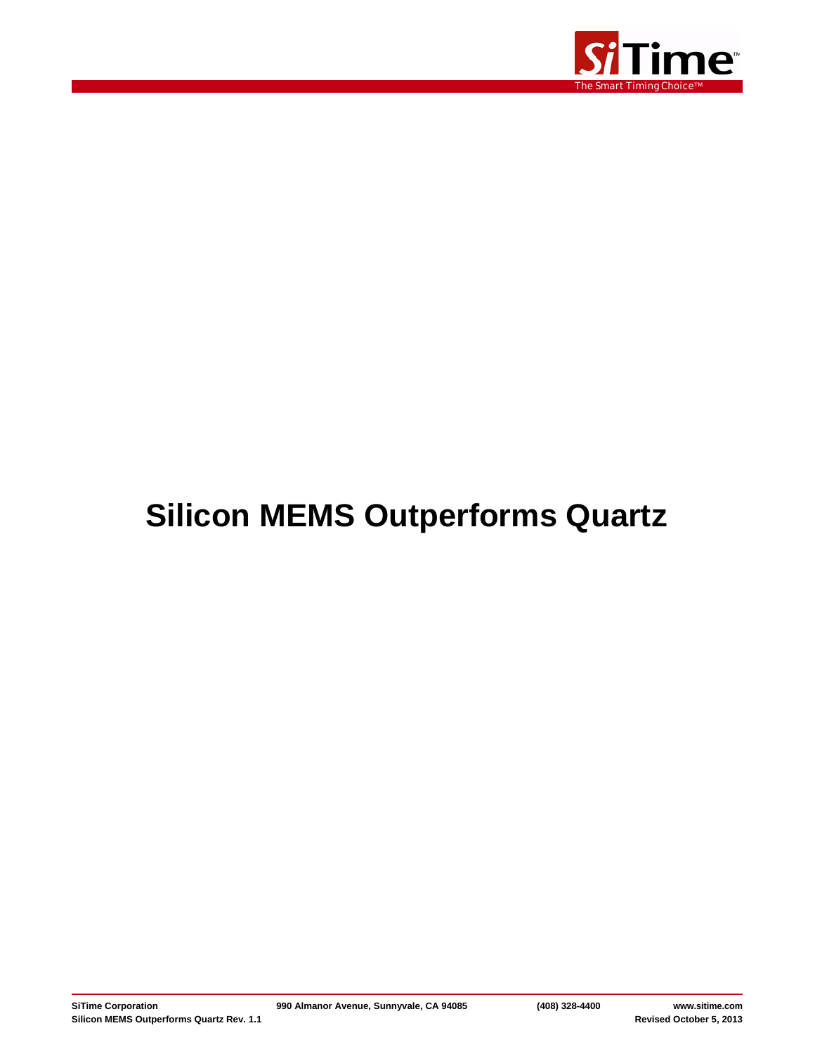

# **Silicon MEMS Outperforms Quartz**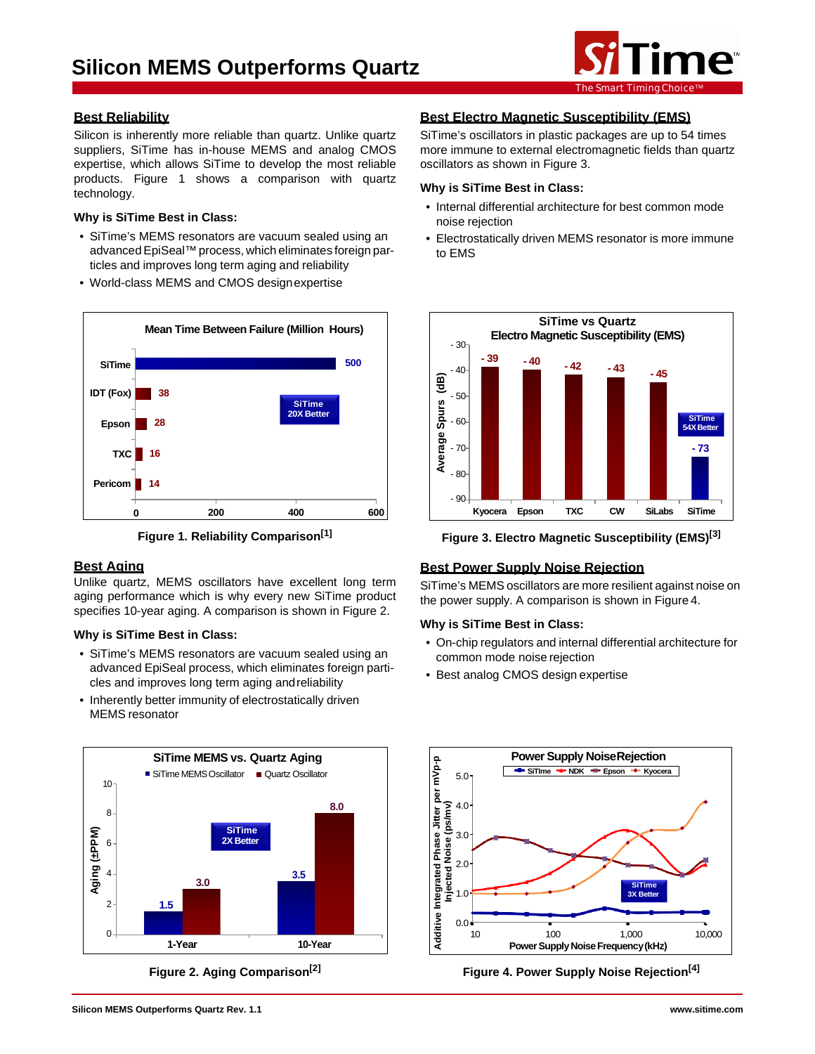

# **Best Reliability**

Silicon is inherently more reliable than quartz. Unlike quartz suppliers, SiTime has in-house MEMS and analog CMOS expertise, which allows SiTime to develop the most reliable products. Figure 1 shows a comparison with quartz technology.

#### **Why is SiTime Best in Class:**

- SiTime's MEMS resonators are vacuum sealed using an advanced EpiSeal™ process, which eliminates foreign particles and improves long term aging and reliability
- World-class MEMS and CMOS designexpertise



**Figure 1. Reliability Comparison[1]**

# **Best Aging**

Unlike quartz, MEMS oscillators have excellent long term aging performance which is why every new SiTime product specifies 10-year aging. A comparison is shown in Figure 2.

# **Why is SiTime Best in Class:**

- SiTime's MEMS resonators are vacuum sealed using an advanced EpiSeal process, which eliminates foreign particles and improves long term aging andreliability
- Inherently better immunity of electrostatically driven MEMS resonator



**Figure 2. Aging Comparison[2]**

# **Best Electro Magnetic Susceptibility (EMS)**

SiTime's oscillators in plastic packages are up to 54 times more immune to external electromagnetic fields than quartz oscillators as shown in Figure 3.

# **Why is SiTime Best in Class:**

- Internal differential architecture for best common mode noise rejection
- Electrostatically driven MEMS resonator is more immune to EMS



**Figure 3. Electro Magnetic Susceptibility (EMS)[3]**

# **Best Power Supply Noise Rejection**

SiTime's MEMS oscillators are more resilient against noise on the power supply. A comparison is shown in Figure 4.

# **Why is SiTime Best in Class:**

- On-chip regulators and internal differential architecture for common mode noise rejection
- Best analog CMOS design expertise



**Figure 4. Power Supply Noise Rejection[4]**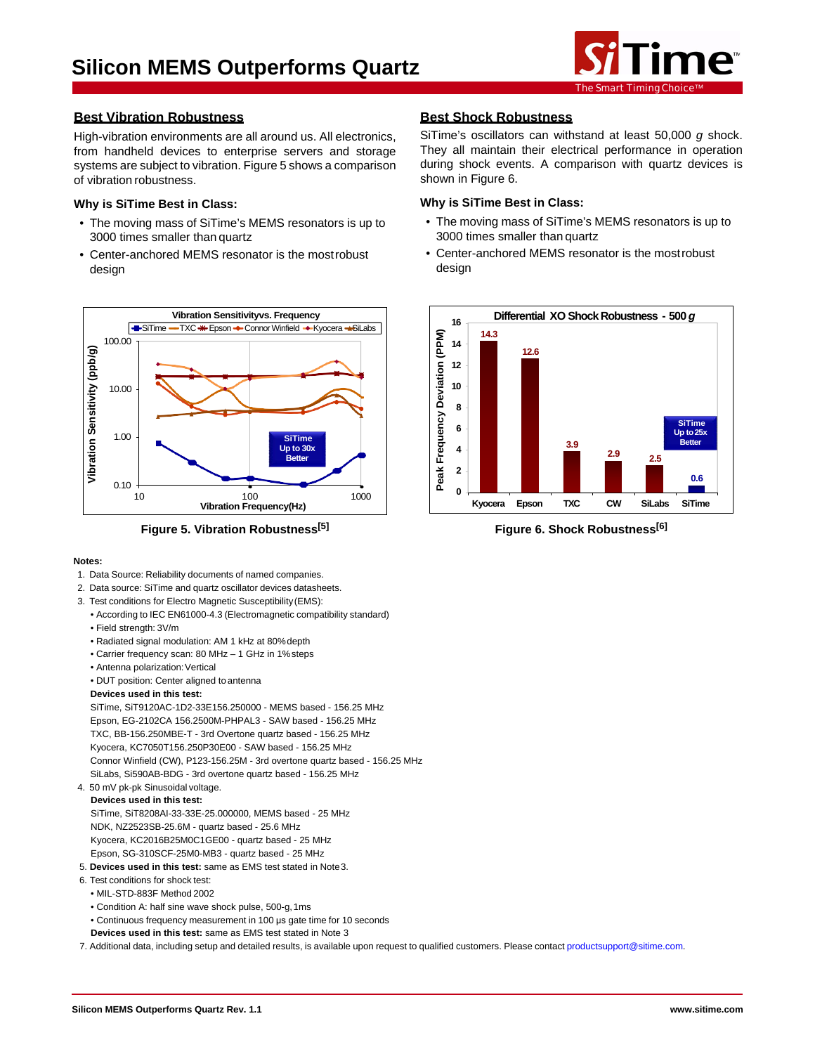

# **Best Vibration Robustness**

High-vibration environments are all around us. All electronics, from handheld devices to enterprise servers and storage systems are subject to vibration. Figure 5 shows a comparison of vibration robustness.

## **Why is SiTime Best in Class:**

- The moving mass of SiTime's MEMS resonators is up to 3000 times smaller than quartz
- Center-anchored MEMS resonator is the mostrobust design



**Figure 5. Vibration Robustness[5]**

#### **Notes:**

- 1. Data Source: Reliability documents of named companies.
- 2. Data source: SiTime and quartz oscillator devices datasheets.
- 3. Test conditions for Electro Magnetic Susceptibility(EMS):
	- According to IEC EN61000-4.3 (Electromagnetic compatibility standard)
	- Field strength: 3V/m
	- Radiated signal modulation: AM 1 kHz at 80%depth
	- Carrier frequency scan: 80 MHz 1 GHz in 1%steps
	- Antenna polarization: Vertical
	- DUT position: Center aligned toantenna

#### **Devices used in this test:**

SiTime, SiT9120AC-1D2-33E156.250000 - MEMS based - 156.25 MHz Epson, EG-2102CA 156.2500M-PHPAL3 - SAW based - 156.25 MHz TXC, BB-156.250MBE-T - 3rd Overtone quartz based - 156.25 MHz Kyocera, KC7050T156.250P30E00 - SAW based - 156.25 MHz Connor Winfield (CW), P123-156.25M - 3rd overtone quartz based - 156.25 MHz SiLabs, Si590AB-BDG - 3rd overtone quartz based - 156.25 MHz

4. 50 mV pk-pk Sinusoidal voltage.

#### **Devices used in this test:**

SiTime, SiT8208AI-33-33E-25.000000, MEMS based - 25 MHz NDK, NZ2523SB-25.6M - quartz based - 25.6 MHz Kyocera, KC2016B25M0C1GE00 - quartz based - 25 MHz Epson, SG-310SCF-25M0-MB3 - quartz based - 25 MHz

- 5. **Devices used in this test:** same as EMS test stated in Note3.
- 6. Test conditions for shock test:
- MIL-STD-883F Method 2002
- Condition A: half sine wave shock pulse, 500-g,1ms
- Continuous frequency measurement in 100 μs gate time for 10 seconds
- **Devices used in this test:** same as EMS test stated in Note 3

7. Additional data, including setup and detailed results, is available upon request to qualified customers. Please contact [productsupport@sitime.com.](mailto:productsupport@sitime.com)

# **Best Shock Robustness**

SiTime's oscillators can withstand at least 50,000 *g* shock. They all maintain their electrical performance in operation during shock events. A comparison with quartz devices is shown in Figure 6.

### **Why is SiTime Best in Class:**

- The moving mass of SiTime's MEMS resonators is up to 3000 times smaller than quartz
- Center-anchored MEMS resonator is the mostrobust design



**Figure 6. Shock Robustness[6]**